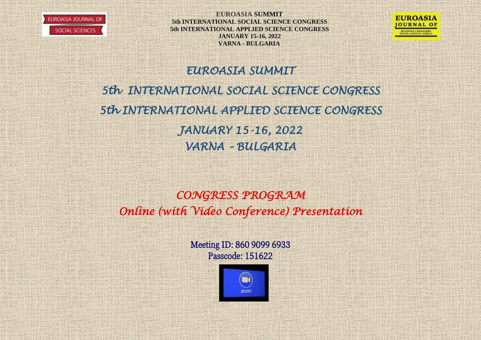



# *EUROASIA SUMMIT*

*5th INTERNATIONAL SOCIAL SCIENCE CONGRESS 5th INTERNATIONAL APPLIED SCIENCE CONGRESS JANUARY 15-16, 2022 VARNA – BULGARIA* 

*CONGRESS PROGRAM Online (with Video Conference) Presentation* 

**Consult** 

Meeting ID: 860 9099 6933 Passcode: 151622

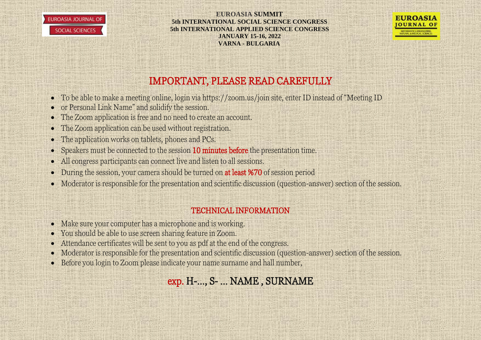



## IMPORTANT, PLEASE READ CAREFULLY

- To be able to make a meeting online, login via https://zoom.us/join site, enter ID instead of "Meeting ID
- or Personal Link Name" and solidify the session.
- The Zoom application is free and no need to create an account.
- The Zoom application can be used without registration.
- The application works on tablets, phones and PCs.
- Speakers must be connected to the session 10 minutes before the presentation time.
- All congress participants can connect live and listen to all sessions.
- During the session, your camera should be turned on at least %70 of session period
- Moderator is responsible for the presentation and scientific discussion (question-answer) section of the session.

### TECHNICAL INFORMATION

- Make sure your computer has a microphone and is working.
- You should be able to use screen sharing feature in Zoom.
- Attendance certificates will be sent to you as pdf at the end of the congress.
- Moderator is responsible for the presentation and scientific discussion (question-answer) section of the session.
- Before you login to Zoom please indicate your name surname and hall number,

# exp. H-…, S- … NAME , SURNAME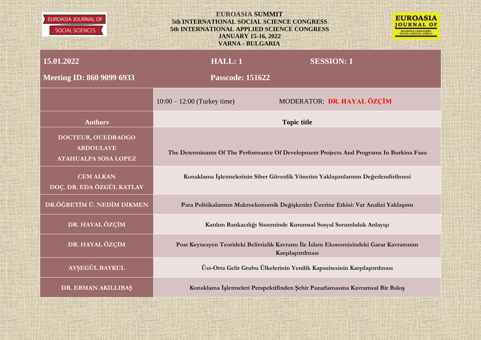| <b>EUROASIA JOURNAL OF</b><br>SOCIAL SCIENCES                         | <b>EUROASIA SUMMIT</b><br>5th INTERNATIONAL SOCIAL SCIENCE CONGRESS<br>5th INTERNATIONAL APPLIED SCIENCE CONGRESS<br><b>JANUARY 15-16, 2022</b><br><b>VARNA - BULGARIA</b> | <b>EUROASIA</b><br>OURNAL OF                                                             |  |
|-----------------------------------------------------------------------|----------------------------------------------------------------------------------------------------------------------------------------------------------------------------|------------------------------------------------------------------------------------------|--|
| 15.01.2022                                                            | <b>HALL: 1</b>                                                                                                                                                             | <b>SESSION: 1</b>                                                                        |  |
| <b>Meeting ID: 860 9099 6933</b>                                      | <b>Passcode: 151622</b>                                                                                                                                                    |                                                                                          |  |
|                                                                       | $10:00 - 12:00$ (Turkey time)                                                                                                                                              | MODERATOR: DR. HAYAL ÖZÇİM                                                               |  |
| <b>Authors</b>                                                        |                                                                                                                                                                            | <b>Topic title</b>                                                                       |  |
| DOCTEUR, OUEDRAOGO<br><b>ABDOULAYE</b><br><b>ATAHUALPA SOSA LOPEZ</b> |                                                                                                                                                                            | The Determinants Of The Performance Of Development Projects And Programs In Burkina Faso |  |
| <b>CEM ALKAN</b><br>DOÇ. DR. EDA ÖZGÜL KATLAV                         |                                                                                                                                                                            | Konaklama İşletmelerinin Siber Güvenlik Yönetim Yaklaşımlarının Değerlendirilmesi        |  |
| DR.ÖĞRETİM Ü. NEDİM DİKMEN                                            |                                                                                                                                                                            | Para Politikalarının Makroekonomik Değişkenler Üzerine Etkisi: Var Analizi Yaklaşımı     |  |
| DR. HAYAL ÖZÇİM                                                       | Katılım Bankacılığı Sisteminde Kurumsal Sosyal Sorumluluk Anlayışı                                                                                                         |                                                                                          |  |
| DR. HAYAL ÖZÇİM                                                       | Post Keynesyen Teorideki Belirsizlik Kavramı İle İslam Ekonomisindeki Garar Kavramının<br>Karşılaştırılması                                                                |                                                                                          |  |
| AYŞEGÜL BAYKUL                                                        | Üst-Orta Gelir Grubu Ülkelerinin Yenilik Kapasitesinin Karşılaştırılması                                                                                                   |                                                                                          |  |
| DR. ERMAN AKILLIBAŞ                                                   |                                                                                                                                                                            | Konaklama İşletmeleri Perspektifinden Şehir Pazarlamasına Kavramsal Bir Bakış            |  |

**TARGET**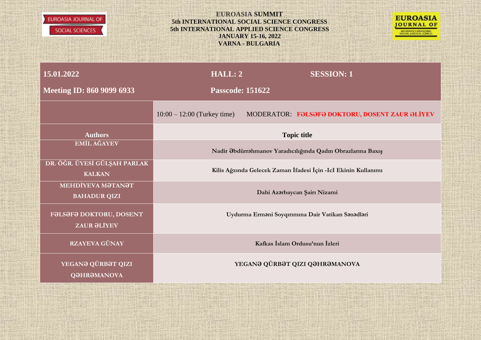



| 15.01.2022                                    | HALL: 2                                                        |  | <b>SESSION: 1</b>                                           |
|-----------------------------------------------|----------------------------------------------------------------|--|-------------------------------------------------------------|
| <b>Meeting ID: 860 9099 6933</b>              | <b>Passcode: 151622</b>                                        |  |                                                             |
|                                               | $10:00 - 12:00$ (Turkey time)                                  |  | MODERATOR: FƏLSƏFƏ DOKTORU, DOSENT ZAUR ƏLİYEV              |
| <b>Authors</b>                                |                                                                |  | <b>Topic title</b>                                          |
| <b>EMİL AĞAYEV</b>                            |                                                                |  | Nadir Əbdürrəhmanov Yaradıcılığında Qadın Obrazlarına Baxış |
| DR. ÖĞR. ÜYESİ GÜLŞAH PARLAK<br><b>KALKAN</b> | Kilis Ağzında Gelecek Zaman İfadesi İçin -IcI Ekinin Kullanımı |  |                                                             |
| ΜΕΗDΙΥΕΛΑ ΜΘΤΑΝΘΤ<br><b>BAHADUR QIZI</b>      |                                                                |  | Dahi Azərbaycan Şairı Nizami                                |
| FƏLSƏFƏ DOKTORU, DOSENT<br><b>ZAUR ƏLİYEV</b> |                                                                |  | Uydurma Ermani Soyqırımına Dair Vatikan Sanadlari           |
| <b>RZAYEVA GÜNAY</b>                          |                                                                |  | Kafkas İslam Ordusu'nun İzleri                              |
| YEGANƏ QÜRBƏT QIZI<br><b>QƏHRƏMANOVA</b>      |                                                                |  | YEGANƏ QÜRBƏT QIZI QƏHRƏMANOVA                              |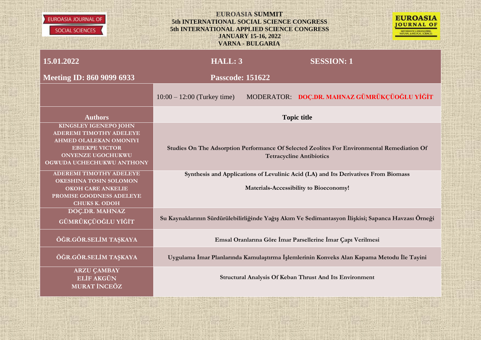



| 15.01.2022                                                                                                                                                                 | HALL: 3                                                                                                                      |  | <b>SESSION: 1</b>                                                                                                              |
|----------------------------------------------------------------------------------------------------------------------------------------------------------------------------|------------------------------------------------------------------------------------------------------------------------------|--|--------------------------------------------------------------------------------------------------------------------------------|
| <b>Meeting ID: 860 9099 6933</b>                                                                                                                                           | <b>Passcode: 151622</b>                                                                                                      |  |                                                                                                                                |
|                                                                                                                                                                            | $10:00 - 12:00$ (Turkey time)                                                                                                |  | MODERATOR: DOC.DR. MAHNAZ GÜMRÜKÇÜOĞLU YİĞİT                                                                                   |
| <b>Authors</b>                                                                                                                                                             | <b>Topic title</b>                                                                                                           |  |                                                                                                                                |
| <b>KINGSLEY IGENEPO JOHN</b><br><b>ADEREMI TIMOTHY ADELEYE</b><br>AHMED OLALEKAN OMONIYI<br><b>EBIEKPE VICTOR</b><br><b>ONYENZE UGOCHUKWU</b><br>OGWUDA UCHECHUKWU ANTHONY |                                                                                                                              |  | Studies On The Adsorption Performance Of Selected Zeolites For Environmental Remediation Of<br><b>Tetracycline Antibiotics</b> |
| <b>ADEREMI TIMOTHY ADELEYE</b><br><b>OKESHINA TOSIN SOLOMON</b><br><b>OKOH CARE ANKELIE</b><br>PROMISE GOODNESS ADELEYE<br><b>CHUKS K. ODOH</b>                            | Synthesis and Applications of Levulinic Acid (LA) and Its Derivatives From Biomass<br>Materials-Accessibility to Bioeconomy! |  |                                                                                                                                |
| DOÇ.DR. MAHNAZ<br>GÜMRÜKÇÜOĞLU YİĞİT                                                                                                                                       |                                                                                                                              |  | Su Kaynaklarının Sürdürülebilirliğinde Yağış Akım Ve Sedimantasyon İlişkisi; Sapanca Havzası Örneği                            |
| ÖĞR.GÖR.SELİM TAŞKAYA                                                                                                                                                      |                                                                                                                              |  | Emsal Oranlarına Göre İmar Parsellerine İmar Çapı Verilmesi                                                                    |
| ÖĞR.GÖR.SELİM TAŞKAYA                                                                                                                                                      |                                                                                                                              |  | Uygulama İmar Planlarında Kamulaştırma İşlemlerinin Konveks Alan Kapama Metodu İle Tayini                                      |
| <b>ARZU ÇAMBAY</b><br><b>ELİF AKGÜN</b><br><b>MURAT İNCEÖZ</b>                                                                                                             |                                                                                                                              |  | Structural Analysis Of Keban Thrust And Its Environment                                                                        |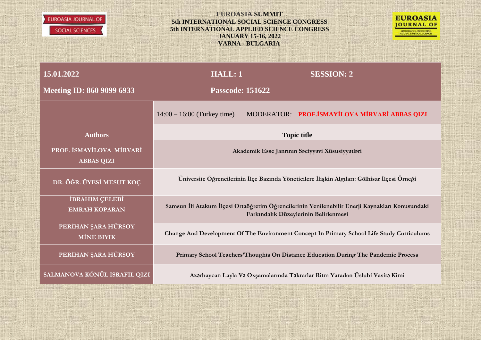



| 15.01.2022                                    | HALL: 1                                                                                                                                  |  | <b>SESSION: 2</b>                                                                   |
|-----------------------------------------------|------------------------------------------------------------------------------------------------------------------------------------------|--|-------------------------------------------------------------------------------------|
| <b>Meeting ID: 860 9099 6933</b>              | <b>Passcode: 151622</b>                                                                                                                  |  |                                                                                     |
|                                               | $14:00 - 16:00$ (Turkey time)                                                                                                            |  | MODERATOR: PROF.İSMAYİLOVA MİRVARİ ABBAS QIZI                                       |
| <b>Authors</b>                                |                                                                                                                                          |  | <b>Topic title</b>                                                                  |
| PROF. İSMAYİLOVA MİRVARİ<br><b>ABBAS QIZI</b> |                                                                                                                                          |  | Akademik Esse Janrının Səciyyəvi Xüsusiyyətləri                                     |
| DR. ÖĞR. ÜYESİ MESUT KOÇ                      | Üniversite Öğrencilerinin İlçe Bazında Yöneticilere İlişkin Algıları: Gölhisar İlçesi Örneği                                             |  |                                                                                     |
| İBRAHIM ÇELEBİ<br><b>EMRAH KOPARAN</b>        | Samsun İli Atakum İlçesi Ortaöğretim Öğrencilerinin Yenilenebilir Enerji Kaynakları Konusundaki<br>Farkındalık Düzeylerinin Belirlenmesi |  |                                                                                     |
| PERİHAN ŞARA HÜRSOY<br><b>MİNE BIYIK</b>      | Change And Development Of The Environment Concept In Primary School Life Study Curriculums                                               |  |                                                                                     |
| PERİHAN ŞARA HÜRSOY                           |                                                                                                                                          |  | Primary School Teachers' Thoughts On Distance Education During The Pandemic Process |
| SALMANOVA KÖNÜL İSRAFİL QIZI                  | Azərbaycan Layla Və Oxşamalarında Təkrarlar Ritm Yaradan Üslubi Vasitə Kimi                                                              |  |                                                                                     |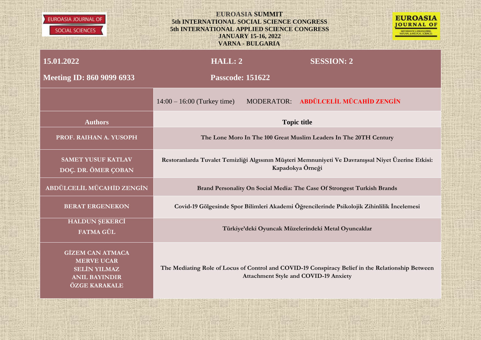| <b>EUROASIA JOURNAL OF</b><br>SOCIAL SCIENCES                                                                | <b>EUROASIA SUMMIT</b><br><b>EUROASIA</b><br>5th INTERNATIONAL SOCIAL SCIENCE CONGRESS<br><b>JOURNAL OF</b><br>5th INTERNATIONAL APPLIED SCIENCE CONGRESS<br><b>JANUARY 15-16, 2022</b><br><b>VARNA - BULGARIA</b> |  |  |
|--------------------------------------------------------------------------------------------------------------|--------------------------------------------------------------------------------------------------------------------------------------------------------------------------------------------------------------------|--|--|
| 15.01.2022                                                                                                   | HALL: 2<br><b>SESSION: 2</b>                                                                                                                                                                                       |  |  |
| <b>Meeting ID: 860 9099 6933</b>                                                                             | <b>Passcode: 151622</b>                                                                                                                                                                                            |  |  |
|                                                                                                              | MODERATOR: ABDÜLCELİL MÜCAHİD ZENGİN<br>$14:00 - 16:00$ (Turkey time)                                                                                                                                              |  |  |
| <b>Authors</b>                                                                                               | <b>Topic title</b>                                                                                                                                                                                                 |  |  |
| PROF. RAIHAN A. YUSOPH                                                                                       | The Lone Moro In The 100 Great Muslim Leaders In The 20TH Century                                                                                                                                                  |  |  |
| <b>SAMET YUSUF KATLAV</b><br>DOÇ. DR. ÖMER ÇOBAN                                                             | Restoranlarda Tuvalet Temizliği Algısının Müşteri Memnuniyeti Ve Davranışsal Niyet Üzerine Etkisi:<br>Kapadokya Örneği                                                                                             |  |  |
| ABDÜLCELİL MÜCAHİD ZENGİN                                                                                    | Brand Personality On Social Media: The Case Of Strongest Turkish Brands                                                                                                                                            |  |  |
| <b>BERAT ERGENEKON</b>                                                                                       | Covid-19 Gölgesinde Spor Bilimleri Akademi Öğrencilerinde Psikolojik Zihinlilik İncelemesi                                                                                                                         |  |  |
| <b>HALDUN ŞEKERCİ</b><br>FATMA GÜL                                                                           | Türkiye'deki Oyuncak Müzelerindeki Metal Oyuncaklar                                                                                                                                                                |  |  |
| <b>GİZEM CAN ATMACA</b><br><b>MERVE UCAR</b><br><b>SELİN YILMAZ</b><br><b>ANIL BAYINDIR</b><br>ÖZGE KARAKALE | The Mediating Role of Locus of Control and COVID-19 Conspiracy Belief in the Relationship Between<br><b>Attachment Style and COVID-19 Anxiety</b>                                                                  |  |  |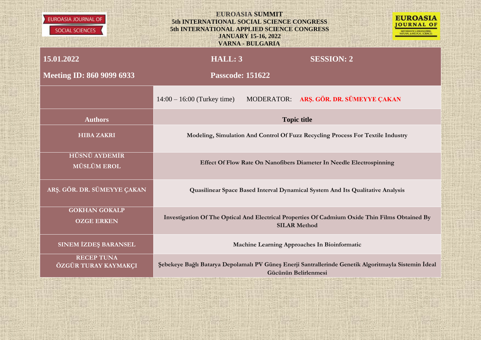| <b>EUROASIA JOURNAL OF</b><br>SOCIAL SCIENCES | <b>EUROASIA SUMMIT</b><br><b>EUROASIA</b><br>5th INTERNATIONAL SOCIAL SCIENCE CONGRESS<br>OURNAL OF<br>5th INTERNATIONAL APPLIED SCIENCE CONGRESS<br><b>JANUARY 15-16, 2022</b><br><b>VARNA - BULGARIA</b> |  |                                                                                                                       |  |
|-----------------------------------------------|------------------------------------------------------------------------------------------------------------------------------------------------------------------------------------------------------------|--|-----------------------------------------------------------------------------------------------------------------------|--|
| 15.01.2022                                    | <b>HALL: 3</b>                                                                                                                                                                                             |  | <b>SESSION: 2</b>                                                                                                     |  |
| <b>Meeting ID: 860 9099 6933</b>              | <b>Passcode: 151622</b>                                                                                                                                                                                    |  |                                                                                                                       |  |
|                                               | $14:00 - 16:00$ (Turkey time)                                                                                                                                                                              |  | MODERATOR: ARŞ. GÖR. DR. SÜMEYYE ÇAKAN                                                                                |  |
| <b>Authors</b>                                | <b>Topic title</b>                                                                                                                                                                                         |  |                                                                                                                       |  |
| <b>HIBA ZAKRI</b>                             |                                                                                                                                                                                                            |  | Modeling, Simulation And Control Of Fuzz Recycling Process For Textile Industry                                       |  |
| HÜSNÜ AYDEMİR<br><b>MÜSLÜM EROL</b>           |                                                                                                                                                                                                            |  | Effect Of Flow Rate On Nanofibers Diameter In Needle Electrospinning                                                  |  |
| ARŞ. GÖR. DR. SÜMEYYE ÇAKAN                   | Quasilinear Space Based Interval Dynamical System And Its Qualitative Analysis                                                                                                                             |  |                                                                                                                       |  |
| <b>GOKHAN GOKALP</b><br><b>OZGE ERKEN</b>     |                                                                                                                                                                                                            |  | Investigation Of The Optical And Electrical Properties Of Cadmium Oxide Thin Films Obtained By<br><b>SILAR Method</b> |  |
| <b>SINEM İZDEŞ BARANSEL</b>                   |                                                                                                                                                                                                            |  | Machine Learning Approaches In Bioinformatic                                                                          |  |
| <b>RECEP TUNA</b><br>ÖZGÜR TURAY KAYMAKÇI     | Şebekeye Bağlı Batarya Depolamalı PV Güneş Enerji Santrallerinde Genetik Algoritmayla Sistemin İdeal                                                                                                       |  | Gücünün Belirlenmesi                                                                                                  |  |

Million and

**PERMIT PARADIX** 

**HILL MARK** 

用轻松的 22 T 321

> 25.7 **CONTRACTOR** 1999 B

> > **ANAHITI**

in Maria

AS UP 前旋转耳觉  $-1.19$ 

**KAIF 9.11** 

**Barton Barton** 

Mille and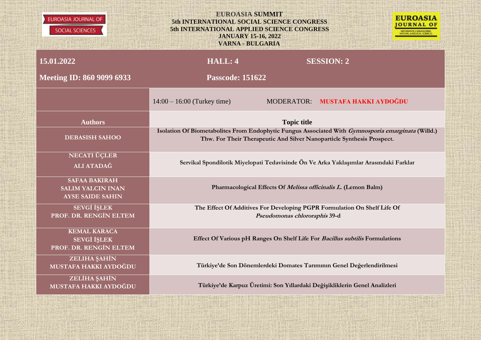



| 15.01.2022<br><b>Meeting ID: 860 9099 6933</b>                                     | <b>HALL: 4</b><br><b>Passcode: 151622</b> |                               | <b>SESSION: 2</b>                                                                                                                                                                                                                                                                                            |
|------------------------------------------------------------------------------------|-------------------------------------------|-------------------------------|--------------------------------------------------------------------------------------------------------------------------------------------------------------------------------------------------------------------------------------------------------------------------------------------------------------|
|                                                                                    | $14:00 - 16:00$ (Turkey time)             |                               | MODERATOR: MUSTAFA HAKKI AYDOĞDU                                                                                                                                                                                                                                                                             |
| <b>Authors</b>                                                                     |                                           | <b>Topic title</b>            |                                                                                                                                                                                                                                                                                                              |
| <b>DEBASISH SAHOO</b>                                                              |                                           |                               | Isolation Of Biometabolites From Endophytic Fungus Associated With Gymnosporia emarginata (Willd.)<br>Thw. For Their Therapeutic And Silver Nanoparticle Synthesis Prospect.                                                                                                                                 |
| <b>NECATI ÜÇLER</b><br>ALI ATADAĞ                                                  |                                           |                               | Servikal Spondilotik Miyelopati Tedavisinde Ön Ve Arka Yaklaşımlar Arasındaki Farklar                                                                                                                                                                                                                        |
| <b>SAFAA BAKIRAH</b><br><b>SALIM YALCIN INAN</b><br><b>AYSE SAIDE SAHIN</b>        |                                           |                               | Pharmacological Effects Of Melissa officinalis L. (Lemon Balm)                                                                                                                                                                                                                                               |
| <b>SEVGİ İŞLEK</b><br>PROF. DR. RENGİN ELTEM                                       |                                           | Pseudomonas chlororaphis 39-d | The Effect Of Additives For Developing PGPR Formulation On Shelf Life Of                                                                                                                                                                                                                                     |
| <b>KEMAL KARACA</b><br><b>SEVGİ İŞLEK</b><br>PROF. DR. RENGİN ELTEM                |                                           |                               | Effect Of Various pH Ranges On Shelf Life For Bacillus subtilis Formulations                                                                                                                                                                                                                                 |
| ZELIHA ŞAHİN<br>MUSTAFA HAKKI AYDOĞDU                                              |                                           |                               | Türkiye'de Son Dönemlerdeki Domates Tarımının Genel Değerlendirilmesi                                                                                                                                                                                                                                        |
| ZELİHA ŞAHİN<br>MUSTAFA HAKKI AYDOĞDU<br>WAST CANNADILY LITTLE ENGINEERS FOR HILLS |                                           |                               | Türkiye'de Karpuz Üretimi: Son Yıllardaki Değişikliklerin Genel Analizleri<br>a management in the state of the state of the state of the state of the state of the state of the state of the state of the state of the state of the state of the state of the state of the state of the state of the state o |